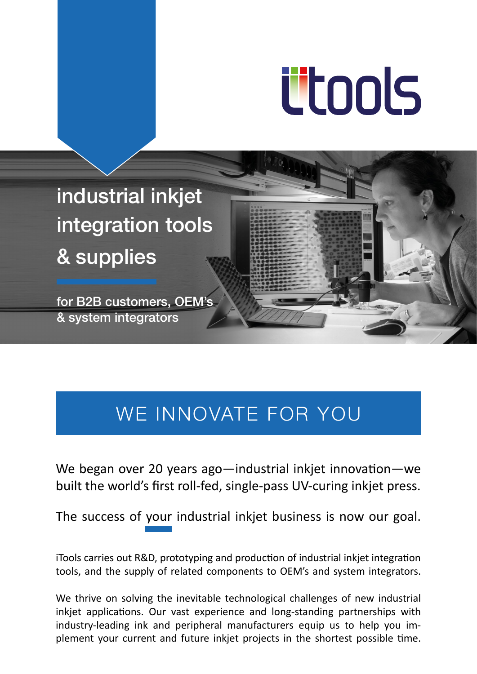# <u>ütools</u>

industrial inkjet integration tools & supplies

for B2B customers, OEM's & system integrators

# WE INNOVATE FOR YOU

We began over 20 years ago—industrial inkjet innovation—we built the world's first roll-fed, single-pass UV-curing inkjet press.

The success of your industrial inkjet business is now our goal.

iTools carries out R&D, prototyping and production of industrial inkjet integration tools, and the supply of related components to OEM's and system integrators.

We thrive on solving the inevitable technological challenges of new industrial inkjet applications. Our vast experience and long-standing partnerships with industry-leading ink and peripheral manufacturers equip us to help you implement your current and future inkjet projects in the shortest possible time.